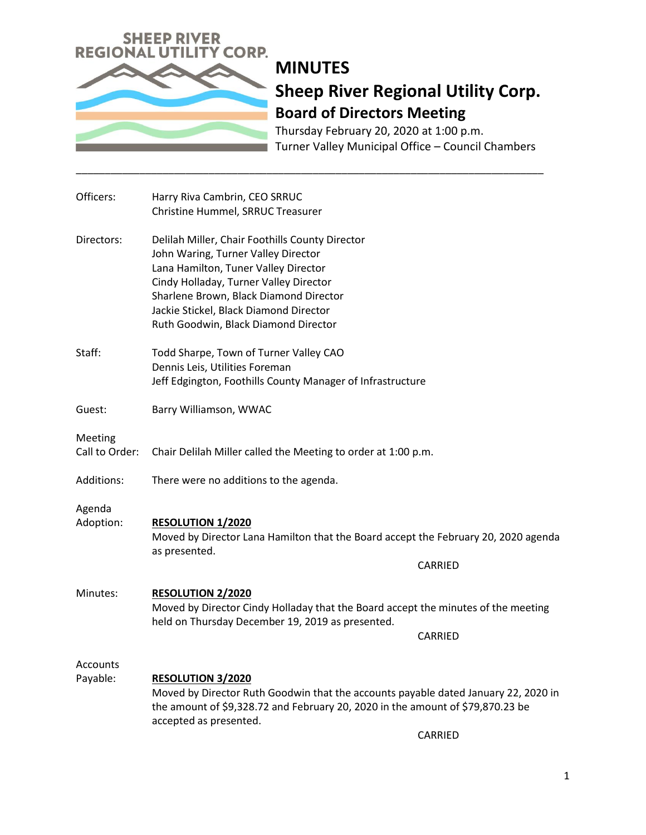

Thursday February 20, 2020 at 1:00 p.m. Turner Valley Municipal Office – Council Chambers

| Officers:                   | Harry Riva Cambrin, CEO SRRUC<br>Christine Hummel, SRRUC Treasurer                                                                                                                                                                                                                                   |         |
|-----------------------------|------------------------------------------------------------------------------------------------------------------------------------------------------------------------------------------------------------------------------------------------------------------------------------------------------|---------|
| Directors:                  | Delilah Miller, Chair Foothills County Director<br>John Waring, Turner Valley Director<br>Lana Hamilton, Tuner Valley Director<br>Cindy Holladay, Turner Valley Director<br>Sharlene Brown, Black Diamond Director<br>Jackie Stickel, Black Diamond Director<br>Ruth Goodwin, Black Diamond Director |         |
| Staff:                      | Todd Sharpe, Town of Turner Valley CAO<br>Dennis Leis, Utilities Foreman<br>Jeff Edgington, Foothills County Manager of Infrastructure                                                                                                                                                               |         |
| Guest:                      | Barry Williamson, WWAC                                                                                                                                                                                                                                                                               |         |
| Meeting<br>Call to Order:   | Chair Delilah Miller called the Meeting to order at 1:00 p.m.                                                                                                                                                                                                                                        |         |
| Additions:                  | There were no additions to the agenda.                                                                                                                                                                                                                                                               |         |
| Agenda<br>Adoption:         | <b>RESOLUTION 1/2020</b><br>Moved by Director Lana Hamilton that the Board accept the February 20, 2020 agenda<br>as presented.<br>CARRIED                                                                                                                                                           |         |
| Minutes:                    | <b>RESOLUTION 2/2020</b><br>Moved by Director Cindy Holladay that the Board accept the minutes of the meeting<br>held on Thursday December 19, 2019 as presented.                                                                                                                                    | CARRIED |
| <b>Accounts</b><br>Payable: | <b>RESOLUTION 3/2020</b><br>Moved by Director Ruth Goodwin that the accounts payable dated January 22, 2020 in<br>the amount of \$9,328.72 and February 20, 2020 in the amount of \$79,870.23 be<br>accepted as presented.                                                                           |         |

\_\_\_\_\_\_\_\_\_\_\_\_\_\_\_\_\_\_\_\_\_\_\_\_\_\_\_\_\_\_\_\_\_\_\_\_\_\_\_\_\_\_\_\_\_\_\_\_\_\_\_\_\_\_\_\_\_\_\_\_\_\_\_\_\_\_\_\_\_\_\_\_\_\_\_\_\_\_\_\_\_

CARRIED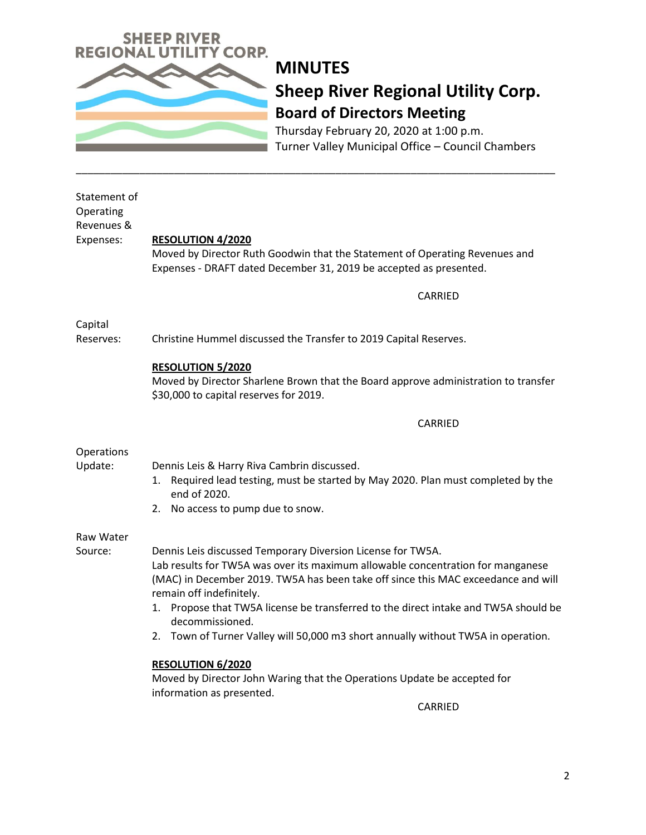

Thursday February 20, 2020 at 1:00 p.m. Turner Valley Municipal Office – Council Chambers

| Statement of<br>Operating<br>Revenues &<br>Expenses: | <b>RESOLUTION 4/2020</b><br>Moved by Director Ruth Goodwin that the Statement of Operating Revenues and<br>Expenses - DRAFT dated December 31, 2019 be accepted as presented.<br>CARRIED                                                                                                                                                                                                                                                                          |  |
|------------------------------------------------------|-------------------------------------------------------------------------------------------------------------------------------------------------------------------------------------------------------------------------------------------------------------------------------------------------------------------------------------------------------------------------------------------------------------------------------------------------------------------|--|
|                                                      |                                                                                                                                                                                                                                                                                                                                                                                                                                                                   |  |
| Capital<br>Reserves:                                 | Christine Hummel discussed the Transfer to 2019 Capital Reserves.                                                                                                                                                                                                                                                                                                                                                                                                 |  |
|                                                      | <b>RESOLUTION 5/2020</b><br>Moved by Director Sharlene Brown that the Board approve administration to transfer<br>\$30,000 to capital reserves for 2019.                                                                                                                                                                                                                                                                                                          |  |
|                                                      | CARRIED                                                                                                                                                                                                                                                                                                                                                                                                                                                           |  |
| Operations<br>Update:                                | Dennis Leis & Harry Riva Cambrin discussed.<br>Required lead testing, must be started by May 2020. Plan must completed by the<br>1.<br>end of 2020.<br>2. No access to pump due to snow.                                                                                                                                                                                                                                                                          |  |
| Raw Water                                            |                                                                                                                                                                                                                                                                                                                                                                                                                                                                   |  |
| Source:                                              | Dennis Leis discussed Temporary Diversion License for TW5A.<br>Lab results for TW5A was over its maximum allowable concentration for manganese<br>(MAC) in December 2019. TW5A has been take off since this MAC exceedance and will<br>remain off indefinitely.<br>Propose that TW5A license be transferred to the direct intake and TW5A should be<br>1.<br>decommissioned.<br>2. Town of Turner Valley will 50,000 m3 short annually without TW5A in operation. |  |
|                                                      | <b>RESOLUTION 6/2020</b>                                                                                                                                                                                                                                                                                                                                                                                                                                          |  |
|                                                      | Moved by Director John Waring that the Operations Update be accepted for<br>information as presented.                                                                                                                                                                                                                                                                                                                                                             |  |

\_\_\_\_\_\_\_\_\_\_\_\_\_\_\_\_\_\_\_\_\_\_\_\_\_\_\_\_\_\_\_\_\_\_\_\_\_\_\_\_\_\_\_\_\_\_\_\_\_\_\_\_\_\_\_\_\_\_\_\_\_\_\_\_\_\_\_\_\_\_\_\_\_\_\_\_\_\_\_\_\_\_\_

CARRIED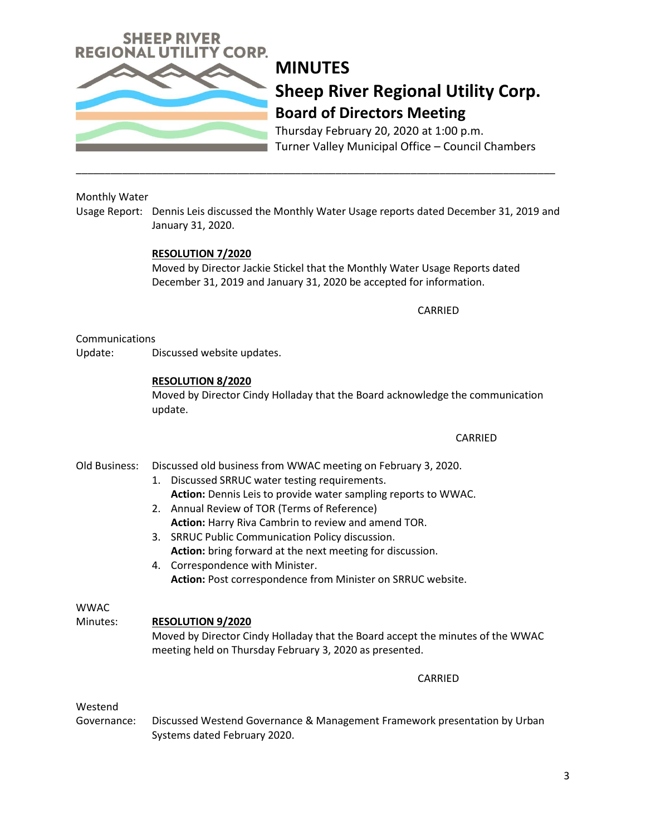

Thursday February 20, 2020 at 1:00 p.m. Turner Valley Municipal Office – Council Chambers

## Monthly Water

Usage Report: Dennis Leis discussed the Monthly Water Usage reports dated December 31, 2019 and January 31, 2020.

\_\_\_\_\_\_\_\_\_\_\_\_\_\_\_\_\_\_\_\_\_\_\_\_\_\_\_\_\_\_\_\_\_\_\_\_\_\_\_\_\_\_\_\_\_\_\_\_\_\_\_\_\_\_\_\_\_\_\_\_\_\_\_\_\_\_\_\_\_\_\_\_\_\_\_\_\_\_\_\_\_\_\_

#### **RESOLUTION 7/2020**

Moved by Director Jackie Stickel that the Monthly Water Usage Reports dated December 31, 2019 and January 31, 2020 be accepted for information.

CARRIED

#### Communications

Update: Discussed website updates.

#### **RESOLUTION 8/2020**

Moved by Director Cindy Holladay that the Board acknowledge the communication update.

#### **CARRIED**

## Old Business: Discussed old business from WWAC meeting on February 3, 2020.

- 1. Discussed SRRUC water testing requirements. **Action:** Dennis Leis to provide water sampling reports to WWAC.
- 2. Annual Review of TOR (Terms of Reference) **Action:** Harry Riva Cambrin to review and amend TOR.
- 3. SRRUC Public Communication Policy discussion. **Action:** bring forward at the next meeting for discussion.
- 4. Correspondence with Minister. **Action:** Post correspondence from Minister on SRRUC website.

#### **WWAC**

## Minutes: **RESOLUTION 9/2020**

Moved by Director Cindy Holladay that the Board accept the minutes of the WWAC meeting held on Thursday February 3, 2020 as presented.

## CARRIED

## Westend

Governance: Discussed Westend Governance & Management Framework presentation by Urban Systems dated February 2020.